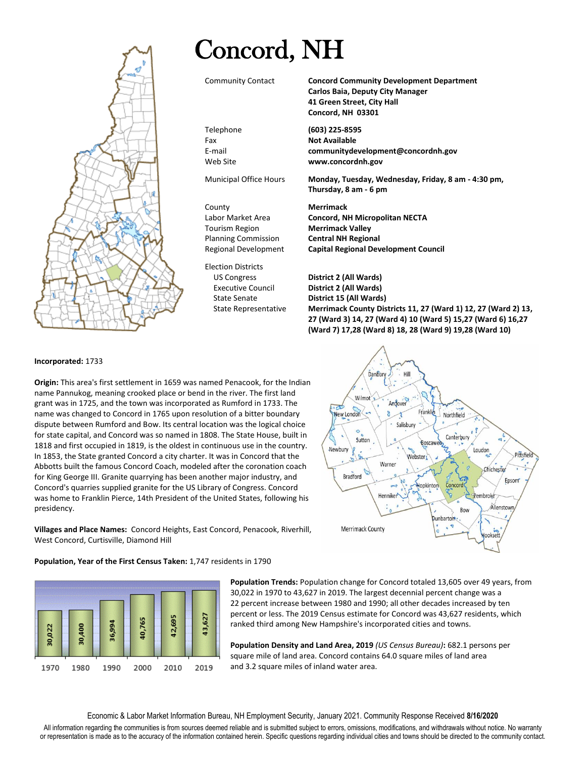## Concord, NH

Election Districts



Community Contact **Concord Community Development Department Carlos Baia, Deputy City Manager 41 Green Street, City Hall Concord, NH 03301**

Telephone **(603) 225-8595** Fax **Not Available** E-mail **communitydevelopment@concordnh.gov** Web Site **www.concordnh.gov**

Municipal Office Hours **Monday, Tuesday, Wednesday, Friday, 8 am - 4:30 pm, Thursday, 8 am - 6 pm**

County **Merrimack** Labor Market Area **Concord, NH Micropolitan NECTA** Tourism Region **Merrimack Valley** Planning Commission **Central NH Regional** Regional Development **Capital Regional Development Council**

US Congress **District 2 (All Wards)** Executive Council **District 2 (All Wards)** State Senate **District 15 (All Wards)** State Representative **Merrimack County Districts 11, 27 (Ward 1) 12, 27 (Ward 2) 13, 27 (Ward 3) 14, 27 (Ward 4) 10 (Ward 5) 15,27 (Ward 6) 16,27 (Ward 7) 17,28 (Ward 8) 18, 28 (Ward 9) 19,28 (Ward 10)**

## **Incorporated:** 1733

**Origin:** This area's first settlement in 1659 was named Penacook, for the Indian name Pannukog, meaning crooked place or bend in the river. The first land grant was in 1725, and the town was incorporated as Rumford in 1733. The name was changed to Concord in 1765 upon resolution of a bitter boundary dispute between Rumford and Bow. Its central location was the logical choice for state capital, and Concord was so named in 1808. The State House, built in 1818 and first occupied in 1819, is the oldest in continuous use in the country. In 1853, the State granted Concord a city charter. It was in Concord that the Abbotts built the famous Concord Coach, modeled after the coronation coach for King George III. Granite quarrying has been another major industry, and Concord's quarries supplied granite for the US Library of Congress. Concord was home to Franklin Pierce, 14th President of the United States, following his presidency.

**Villages and Place Names:** Concord Heights, East Concord, Penacook, Riverhill, West Concord, Curtisville, Diamond Hill



**Population, Year of the First Census Taken:** 1,747 residents in 1790



**Population Trends:** Population change for Concord totaled 13,605 over 49 years, from 30,022 in 1970 to 43,627 in 2019. The largest decennial percent change was a 22 percent increase between 1980 and 1990; all other decades increased by ten percent or less. The 2019 Census estimate for Concord was 43,627 residents, which ranked third among New Hampshire's incorporated cities and towns.

**Population Density and Land Area, 2019** *(US Census Bureau)***:** 682.1 persons per square mile of land area. Concord contains 64.0 square miles of land area and 3.2 square miles of inland water area.

Economic & Labor Market Information Bureau, NH Employment Security, January 2021. Community Response Received **8/16/2020**

All information regarding the communities is from sources deemed reliable and is submitted subject to errors, omissions, modifications, and withdrawals without notice. No warranty or representation is made as to the accuracy of the information contained herein. Specific questions regarding individual cities and towns should be directed to the community contact.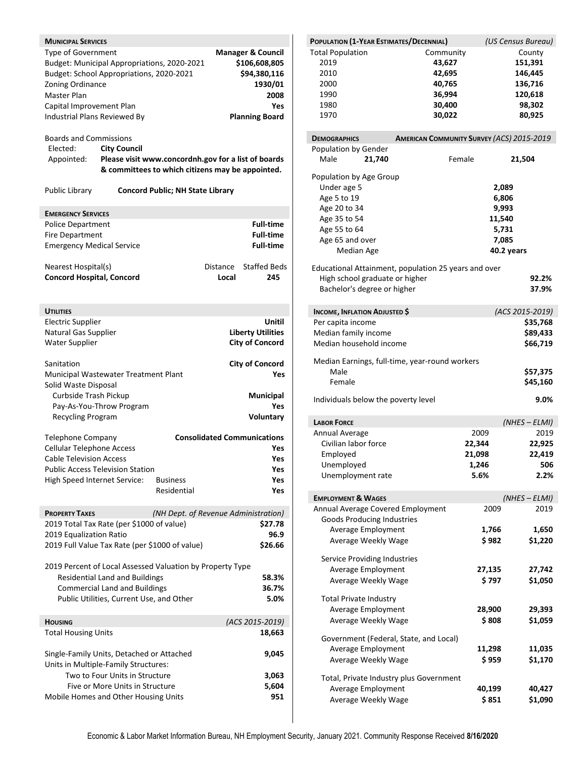| <b>MUNICIPAL SERVICES</b>                             |                                          |                                                           |          |                                    |
|-------------------------------------------------------|------------------------------------------|-----------------------------------------------------------|----------|------------------------------------|
| Type of Government                                    |                                          |                                                           |          | <b>Manager &amp; Council</b>       |
|                                                       |                                          | Budget: Municipal Appropriations, 2020-2021               |          | \$106,608,805                      |
| Budget: School Appropriations, 2020-2021              |                                          |                                                           |          | \$94,380,116                       |
| Zoning Ordinance                                      |                                          |                                                           |          | 1930/01                            |
| Master Plan                                           |                                          |                                                           |          | 2008                               |
| Capital Improvement Plan                              |                                          |                                                           |          | Yes                                |
| Industrial Plans Reviewed By                          |                                          |                                                           |          | <b>Planning Board</b>              |
|                                                       |                                          |                                                           |          |                                    |
| <b>Boards and Commissions</b>                         |                                          |                                                           |          |                                    |
| Elected:                                              | <b>City Council</b>                      |                                                           |          |                                    |
| Appointed:                                            |                                          | Please visit www.concordnh.gov for a list of boards       |          |                                    |
|                                                       |                                          | & committees to which citizens may be appointed.          |          |                                    |
| Public Library                                        |                                          | <b>Concord Public; NH State Library</b>                   |          |                                    |
|                                                       |                                          |                                                           |          |                                    |
| <b>EMERGENCY SERVICES</b><br><b>Police Department</b> |                                          |                                                           |          | <b>Full-time</b>                   |
| <b>Fire Department</b>                                |                                          |                                                           |          | <b>Full-time</b>                   |
| <b>Emergency Medical Service</b>                      |                                          |                                                           |          | <b>Full-time</b>                   |
|                                                       |                                          |                                                           |          |                                    |
| Nearest Hospital(s)                                   |                                          |                                                           | Distance | <b>Staffed Beds</b>                |
| <b>Concord Hospital, Concord</b>                      |                                          |                                                           | Local    | 245                                |
|                                                       |                                          |                                                           |          |                                    |
|                                                       |                                          |                                                           |          |                                    |
| <b>UTILITIES</b>                                      |                                          |                                                           |          |                                    |
| <b>Electric Supplier</b>                              |                                          |                                                           |          | Unitil                             |
| Natural Gas Supplier                                  |                                          |                                                           |          | <b>Liberty Utilities</b>           |
| <b>Water Supplier</b>                                 |                                          |                                                           |          | <b>City of Concord</b>             |
|                                                       |                                          |                                                           |          |                                    |
| Sanitation                                            |                                          |                                                           |          | <b>City of Concord</b>             |
| Municipal Wastewater Treatment Plant                  |                                          |                                                           |          | Yes                                |
| Solid Waste Disposal                                  |                                          |                                                           |          |                                    |
| Curbside Trash Pickup                                 |                                          |                                                           |          | <b>Municipal</b>                   |
|                                                       | Pay-As-You-Throw Program                 |                                                           |          | Yes                                |
| Recycling Program                                     |                                          |                                                           |          | Voluntary                          |
| <b>Telephone Company</b>                              |                                          |                                                           |          | <b>Consolidated Communications</b> |
| <b>Cellular Telephone Access</b>                      |                                          |                                                           |          | Yes                                |
| <b>Cable Television Access</b>                        |                                          |                                                           |          | Yes                                |
| <b>Public Access Television Station</b>               |                                          |                                                           |          | Yes                                |
| High Speed Internet Service:                          |                                          | <b>Business</b>                                           |          | Yes                                |
|                                                       |                                          | Residential                                               |          | Yes                                |
|                                                       |                                          |                                                           |          |                                    |
| <b>PROPERTY TAXES</b>                                 |                                          | (NH Dept. of Revenue Administration)                      |          |                                    |
| 2019 Total Tax Rate (per \$1000 of value)             |                                          |                                                           |          | \$27.78                            |
| 2019 Equalization Ratio                               |                                          |                                                           |          | 96.9                               |
|                                                       |                                          | 2019 Full Value Tax Rate (per \$1000 of value)            |          | \$26.66                            |
|                                                       |                                          |                                                           |          |                                    |
|                                                       |                                          | 2019 Percent of Local Assessed Valuation by Property Type |          |                                    |
|                                                       | <b>Residential Land and Buildings</b>    |                                                           |          | 58.3%                              |
|                                                       | <b>Commercial Land and Buildings</b>     |                                                           |          | 36.7%                              |
|                                                       | Public Utilities, Current Use, and Other |                                                           |          | 5.0%                               |
|                                                       |                                          |                                                           |          |                                    |
| <b>HOUSING</b><br><b>Total Housing Units</b>          |                                          |                                                           |          | (ACS 2015-2019)<br>18,663          |
|                                                       |                                          |                                                           |          |                                    |
| Single-Family Units, Detached or Attached             |                                          |                                                           |          | 9,045                              |
| Units in Multiple-Family Structures:                  |                                          |                                                           |          |                                    |
|                                                       | Two to Four Units in Structure           |                                                           |          | 3,063                              |
|                                                       | Five or More Units in Structure          |                                                           |          | 5,604                              |
| Mobile Homes and Other Housing Units                  |                                          |                                                           |          | 951                                |
|                                                       |                                          |                                                           |          |                                    |

| POPULATION (1-YEAR ESTIMATES/DECENNIAL)              |                                                  | (US Census Bureau) |
|------------------------------------------------------|--------------------------------------------------|--------------------|
| <b>Total Population</b>                              | Community                                        | County             |
| 2019                                                 | 43,627                                           | 151,391            |
| 2010                                                 | 42,695                                           | 146,445            |
| 2000                                                 | 40,765                                           | 136,716            |
| 1990                                                 | 36,994                                           | 120,618            |
| 1980                                                 | 30,400                                           | 98,302             |
| 1970                                                 | 30,022                                           | 80,925             |
|                                                      |                                                  |                    |
| <b>DEMOGRAPHICS</b>                                  | <b>AMERICAN COMMUNITY SURVEY (ACS) 2015-2019</b> |                    |
| Population by Gender                                 |                                                  |                    |
| Male<br>21,740                                       | Female                                           | 21,504             |
| Population by Age Group                              |                                                  |                    |
| Under age 5                                          |                                                  | 2,089              |
| Age 5 to 19                                          |                                                  | 6,806              |
| Age 20 to 34                                         |                                                  | 9,993              |
| Age 35 to 54                                         |                                                  | 11,540             |
| Age 55 to 64                                         |                                                  | 5,731              |
|                                                      |                                                  |                    |
| Age 65 and over                                      |                                                  | 7,085              |
| Median Age                                           |                                                  | 40.2 years         |
| Educational Attainment, population 25 years and over |                                                  |                    |
| High school graduate or higher                       |                                                  | 92.2%              |
| Bachelor's degree or higher                          |                                                  | 37.9%              |
| <b>INCOME, INFLATION ADJUSTED \$</b>                 |                                                  | (ACS 2015-2019)    |
| Per capita income                                    |                                                  | \$35,768           |
| Median family income                                 |                                                  |                    |
|                                                      |                                                  | \$89,433           |
| Median household income                              |                                                  | \$66,719           |
| Median Earnings, full-time, year-round workers       |                                                  |                    |
| Male                                                 |                                                  | \$57,375           |
| Female                                               |                                                  | \$45,160           |
| Individuals below the poverty level                  |                                                  | 9.0%               |
|                                                      |                                                  |                    |
| <b>LABOR FORCE</b>                                   |                                                  | $(NHES - ELMI)$    |
| Annual Average                                       | 2009                                             | 2019               |
| Civilian labor force                                 | 22,344                                           | 22,925             |
| Employed                                             | 21,098                                           | 22,419             |
| Unemployed                                           | 1,246                                            | 506                |
| Unemployment rate                                    | 5.6%                                             | 2.2%               |
|                                                      |                                                  |                    |
| <b>EMPLOYMENT &amp; WAGES</b>                        |                                                  | $(NHES - ELMI)$    |
| Annual Average Covered Employment                    |                                                  | 2009<br>2019       |
| <b>Goods Producing Industries</b>                    |                                                  |                    |
| Average Employment                                   |                                                  | 1,766<br>1,650     |
| Average Weekly Wage                                  |                                                  | \$982<br>\$1,220   |
| Service Providing Industries                         |                                                  |                    |
| Average Employment                                   |                                                  | 27,135<br>27,742   |
| Average Weekly Wage                                  |                                                  | \$797<br>\$1,050   |
|                                                      |                                                  |                    |
| <b>Total Private Industry</b>                        |                                                  |                    |
| Average Employment                                   |                                                  | 28,900<br>29,393   |
| Average Weekly Wage                                  |                                                  | \$808<br>\$1,059   |
| Government (Federal, State, and Local)               |                                                  |                    |
| Average Employment                                   |                                                  | 11,298<br>11,035   |
| Average Weekly Wage                                  |                                                  | \$959<br>\$1,170   |
|                                                      |                                                  |                    |
| Total, Private Industry plus Government              |                                                  |                    |
| Average Employment                                   |                                                  | 40,199<br>40,427   |
| Average Weekly Wage                                  |                                                  | \$ 851<br>\$1,090  |